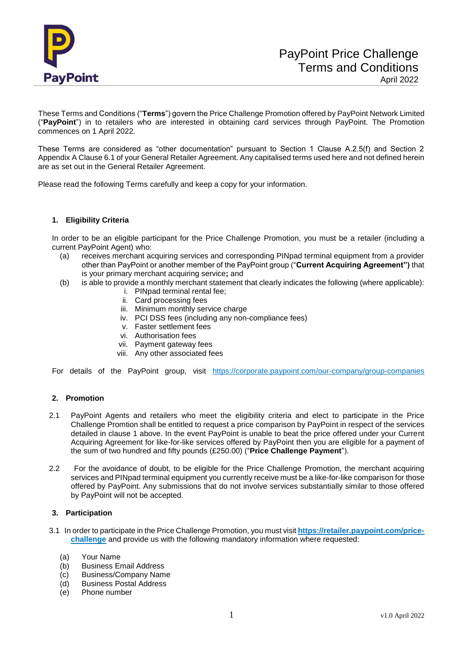

These Terms and Conditions ("**Terms**") govern the Price Challenge Promotion offered by PayPoint Network Limited ("**PayPoint**") in to retailers who are interested in obtaining card services through PayPoint. The Promotion commences on 1 April 2022.

These Terms are considered as "other documentation" pursuant to Section 1 Clause A.2.5(f) and Section 2 Appendix A Clause 6.1 of your General Retailer Agreement. Any capitalised terms used here and not defined herein are as set out in the General Retailer Agreement.

Please read the following Terms carefully and keep a copy for your information.

# **1. Eligibility Criteria**

In order to be an eligible participant for the Price Challenge Promotion, you must be a retailer (including a current PayPoint Agent) who:

- (a) receives merchant acquiring services and corresponding PINpad terminal equipment from a provider other than PayPoint or another member of the PayPoint group ("**Current Acquiring Agreement")** that is your primary merchant acquiring service**;** and
- (b) is able to provide a monthly merchant statement that clearly indicates the following (where applicable):
	- i. PINpad terminal rental fee;
	- ii. Card processing fees
	- iii. Minimum monthly service charge
	- iv. PCI DSS fees (including any non-compliance fees)
	- v. Faster settlement fees
	- vi. Authorisation fees
	- vii. Payment gateway fees
	- viii. Any other associated fees

For details of the PayPoint group, visit <https://corporate.paypoint.com/our-company/group-companies>

# **2. Promotion**

- 2.1 PayPoint Agents and retailers who meet the eligibility criteria and elect to participate in the Price Challenge Promtion shall be entitled to request a price comparison by PayPoint in respect of the services detailed in clause 1 above. In the event PayPoint is unable to beat the price offered under your Current Acquiring Agreement for like-for-like services offered by PayPoint then you are eligible for a payment of the sum of two hundred and fifty pounds (£250.00) ("**Price Challenge Payment**").
- 2.2 For the avoidance of doubt, to be eligible for the Price Challenge Promotion, the merchant acquiring services and PINpad terminal equipment you currently receive must be a like-for-like comparison for those offered by PayPoint. Any submissions that do not involve services substantially similar to those offered by PayPoint will not be accepted.

## **3. Participation**

- 3.1 In order to participate in the Price Challenge Promotion, you must visit **[https://retailer.paypoint.com/price](https://retailer.paypoint.com/price-challenge)[challenge](https://retailer.paypoint.com/price-challenge)** and provide us with the following mandatory information where requested:
	- (a) Your Name
	- (b) Business Email Address
	- (c) Business/Company Name
	- (d) Business Postal Address
	- (e) Phone number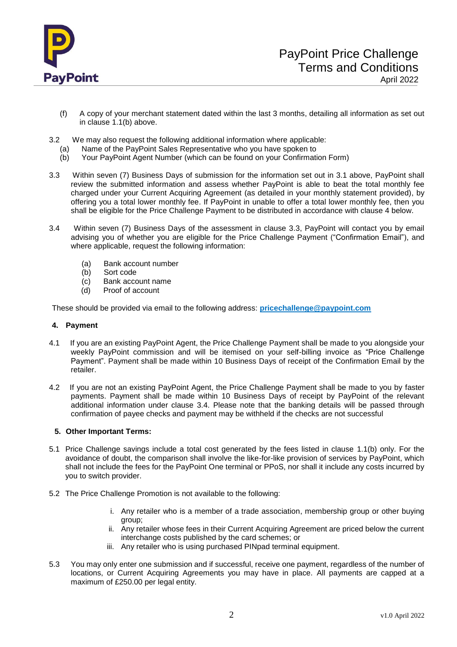

- (f) A copy of your merchant statement dated within the last 3 months, detailing all information as set out in clause 1.1(b) above.
- 3.2 We may also request the following additional information where applicable:
	- (a) Name of the PayPoint Sales Representative who you have spoken to
	- (b) Your PayPoint Agent Number (which can be found on your Confirmation Form)
- 3.3 Within seven (7) Business Days of submission for the information set out in 3.1 above, PayPoint shall review the submitted information and assess whether PayPoint is able to beat the total monthly fee charged under your Current Acquiring Agreement (as detailed in your monthly statement provided), by offering you a total lower monthly fee. If PayPoint in unable to offer a total lower monthly fee, then you shall be eligible for the Price Challenge Payment to be distributed in accordance with clause 4 below.
- 3.4 Within seven (7) Business Days of the assessment in clause 3.3, PayPoint will contact you by email advising you of whether you are eligible for the Price Challenge Payment ("Confirmation Email"), and where applicable, request the following information:
	- (a) Bank account number
	- (b) Sort code
	- (c) Bank account name<br>(d) Proof of account
	- Proof of account

These should be provided via email to the following address: **[pricechallenge@paypoint.com](mailto:pricechallenge@paypoint.com)**

## **4. Payment**

- 4.1If you are an existing PayPoint Agent, the Price Challenge Payment shall be made to you alongside your weekly PayPoint commission and will be itemised on your self-billing invoice as "Price Challenge Payment". Payment shall be made within 10 Business Days of receipt of the Confirmation Email by the retailer.
- 4.2 If you are not an existing PayPoint Agent, the Price Challenge Payment shall be made to you by faster payments. Payment shall be made within 10 Business Days of receipt by PayPoint of the relevant additional information under clause 3.4. Please note that the banking details will be passed through confirmation of payee checks and payment may be withheld if the checks are not successful

## **5. Other Important Terms:**

- 5.1 Price Challenge savings include a total cost generated by the fees listed in clause 1.1(b) only. For the avoidance of doubt, the comparison shall involve the like-for-like provision of services by PayPoint, which shall not include the fees for the PayPoint One terminal or PPoS, nor shall it include any costs incurred by you to switch provider.
- 5.2 The Price Challenge Promotion is not available to the following:
	- i. Any retailer who is a member of a trade association, membership group or other buying group;
	- ii. Any retailer whose fees in their Current Acquiring Agreement are priced below the current interchange costs published by the card schemes; or
	- iii. Any retailer who is using purchased PINpad terminal equipment.
- 5.3 You may only enter one submission and if successful, receive one payment, regardless of the number of locations, or Current Acquiring Agreements you may have in place. All payments are capped at a maximum of £250.00 per legal entity.